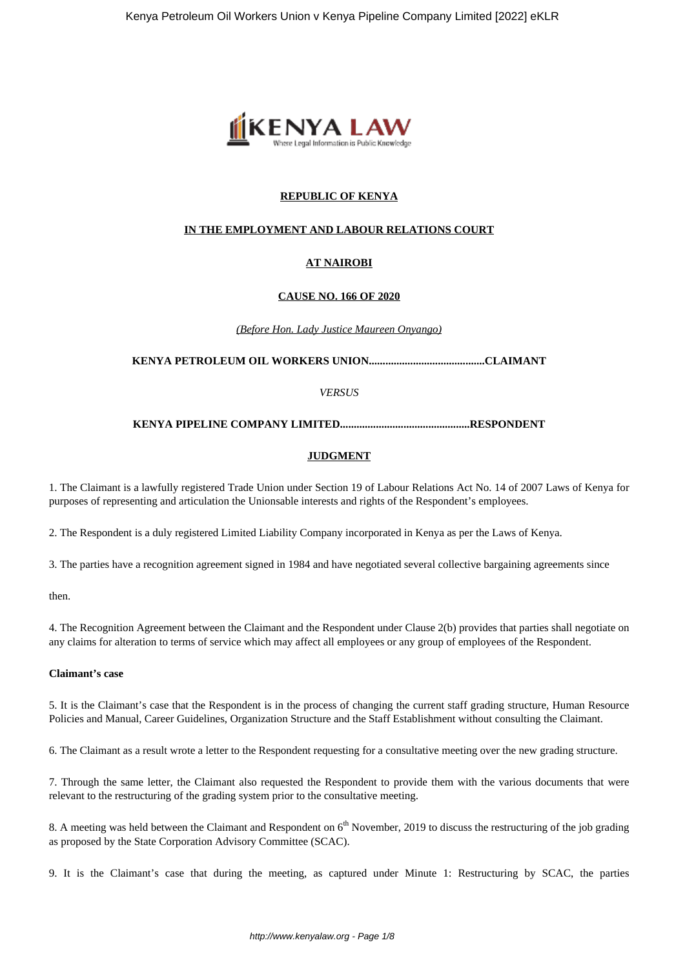

# **REPUBLIC OF KENYA**

## **IN THE EMPLOYMENT AND LABOUR RELATIONS COURT**

# **AT NAIROBI**

#### **CAUSE NO. 166 OF 2020**

*(Before Hon. Lady Justice Maureen Onyango)*

**KENYA PETROLEUM OIL WORKERS UNION..........................................CLAIMANT**

*VERSUS*

#### **KENYA PIPELINE COMPANY LIMITED...............................................RESPONDENT**

#### **JUDGMENT**

1. The Claimant is a lawfully registered Trade Union under Section 19 of Labour Relations Act No. 14 of 2007 Laws of Kenya for purposes of representing and articulation the Unionsable interests and rights of the Respondent's employees.

2. The Respondent is a duly registered Limited Liability Company incorporated in Kenya as per the Laws of Kenya.

3. The parties have a recognition agreement signed in 1984 and have negotiated several collective bargaining agreements since

then.

4. The Recognition Agreement between the Claimant and the Respondent under Clause 2(b) provides that parties shall negotiate on any claims for alteration to terms of service which may affect all employees or any group of employees of the Respondent.

### **Claimant's case**

5. It is the Claimant's case that the Respondent is in the process of changing the current staff grading structure, Human Resource Policies and Manual, Career Guidelines, Organization Structure and the Staff Establishment without consulting the Claimant.

6. The Claimant as a result wrote a letter to the Respondent requesting for a consultative meeting over the new grading structure.

7. Through the same letter, the Claimant also requested the Respondent to provide them with the various documents that were relevant to the restructuring of the grading system prior to the consultative meeting.

8. A meeting was held between the Claimant and Respondent on 6<sup>th</sup> November, 2019 to discuss the restructuring of the job grading as proposed by the State Corporation Advisory Committee (SCAC).

9. It is the Claimant's case that during the meeting, as captured under Minute 1: Restructuring by SCAC, the parties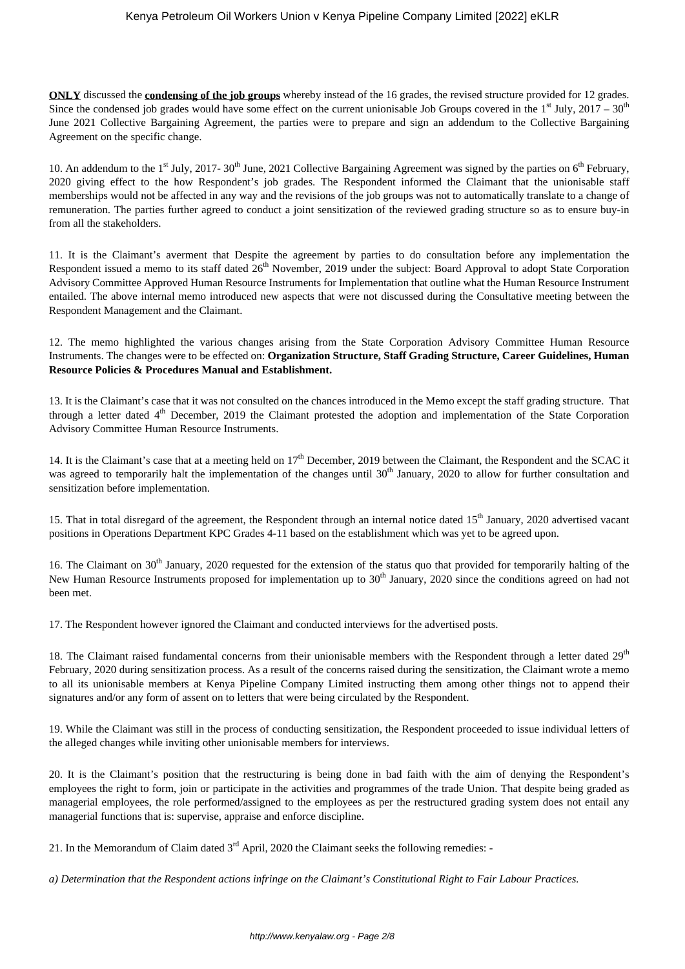**ONLY** discussed the **condensing of the job groups** whereby instead of the 16 grades, the revised structure provided for 12 grades. Since the condensed job grades would have some effect on the current unionisable Job Groups covered in the  $1<sup>st</sup>$  July, 2017 – 30<sup>th</sup> June 2021 Collective Bargaining Agreement, the parties were to prepare and sign an addendum to the Collective Bargaining Agreement on the specific change.

10. An addendum to the 1<sup>st</sup> July, 2017- 30<sup>th</sup> June, 2021 Collective Bargaining Agreement was signed by the parties on 6<sup>th</sup> February, 2020 giving effect to the how Respondent's job grades. The Respondent informed the Claimant that the unionisable staff memberships would not be affected in any way and the revisions of the job groups was not to automatically translate to a change of remuneration. The parties further agreed to conduct a joint sensitization of the reviewed grading structure so as to ensure buy-in from all the stakeholders.

11. It is the Claimant's averment that Despite the agreement by parties to do consultation before any implementation the Respondent issued a memo to its staff dated  $26<sup>th</sup>$  November, 2019 under the subject: Board Approval to adopt State Corporation Advisory Committee Approved Human Resource Instruments for Implementation that outline what the Human Resource Instrument entailed. The above internal memo introduced new aspects that were not discussed during the Consultative meeting between the Respondent Management and the Claimant.

12. The memo highlighted the various changes arising from the State Corporation Advisory Committee Human Resource Instruments. The changes were to be effected on: **Organization Structure, Staff Grading Structure, Career Guidelines, Human Resource Policies & Procedures Manual and Establishment.**

13. It is the Claimant's case that it was not consulted on the chances introduced in the Memo except the staff grading structure. That through a letter dated  $4<sup>th</sup>$  December, 2019 the Claimant protested the adoption and implementation of the State Corporation Advisory Committee Human Resource Instruments.

14. It is the Claimant's case that at a meeting held on 17<sup>th</sup> December, 2019 between the Claimant, the Respondent and the SCAC it was agreed to temporarily halt the implementation of the changes until 30<sup>th</sup> January, 2020 to allow for further consultation and sensitization before implementation.

15. That in total disregard of the agreement, the Respondent through an internal notice dated 15<sup>th</sup> January, 2020 advertised vacant positions in Operations Department KPC Grades 4-11 based on the establishment which was yet to be agreed upon.

16. The Claimant on 30<sup>th</sup> January, 2020 requested for the extension of the status quo that provided for temporarily halting of the New Human Resource Instruments proposed for implementation up to 30<sup>th</sup> January, 2020 since the conditions agreed on had not been met.

17. The Respondent however ignored the Claimant and conducted interviews for the advertised posts.

18. The Claimant raised fundamental concerns from their unionisable members with the Respondent through a letter dated  $29<sup>th</sup>$ February, 2020 during sensitization process. As a result of the concerns raised during the sensitization, the Claimant wrote a memo to all its unionisable members at Kenya Pipeline Company Limited instructing them among other things not to append their signatures and/or any form of assent on to letters that were being circulated by the Respondent.

19. While the Claimant was still in the process of conducting sensitization, the Respondent proceeded to issue individual letters of the alleged changes while inviting other unionisable members for interviews.

20. It is the Claimant's position that the restructuring is being done in bad faith with the aim of denying the Respondent's employees the right to form, join or participate in the activities and programmes of the trade Union. That despite being graded as managerial employees, the role performed/assigned to the employees as per the restructured grading system does not entail any managerial functions that is: supervise, appraise and enforce discipline.

21. In the Memorandum of Claim dated  $3<sup>rd</sup>$  April, 2020 the Claimant seeks the following remedies: -

*a) Determination that the Respondent actions infringe on the Claimant's Constitutional Right to Fair Labour Practices.*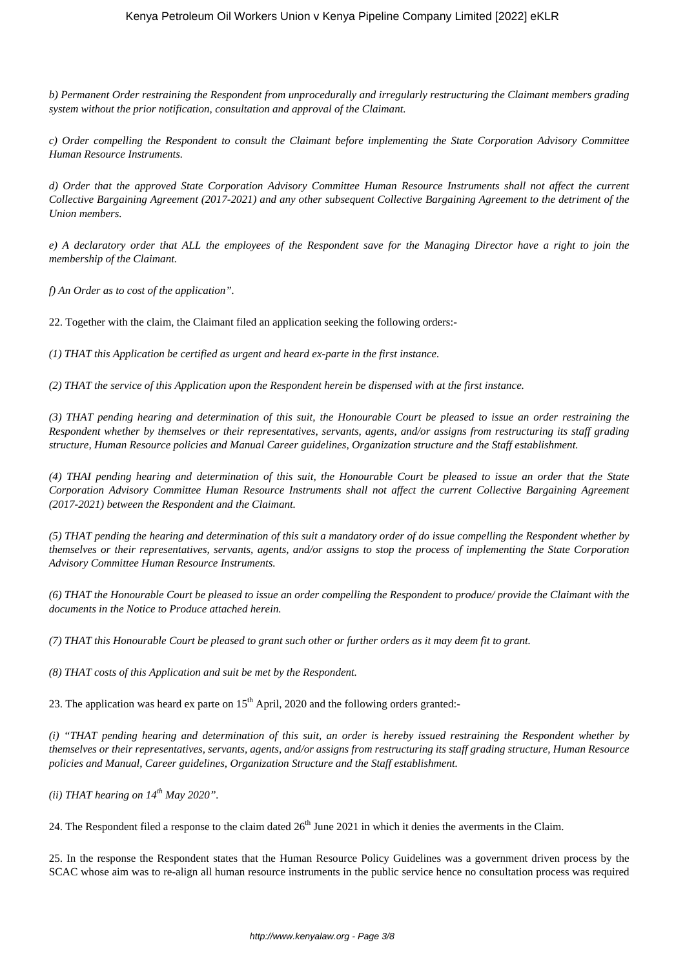*b) Permanent Order restraining the Respondent from unprocedurally and irregularly restructuring the Claimant members grading system without the prior notification, consultation and approval of the Claimant.*

*c) Order compelling the Respondent to consult the Claimant before implementing the State Corporation Advisory Committee Human Resource Instruments.*

*d) Order that the approved State Corporation Advisory Committee Human Resource Instruments shall not affect the current Collective Bargaining Agreement (2017-2021) and any other subsequent Collective Bargaining Agreement to the detriment of the Union members.*

*e) A declaratory order that ALL the employees of the Respondent save for the Managing Director have a right to join the membership of the Claimant.*

*f) An Order as to cost of the application".*

22. Together with the claim, the Claimant filed an application seeking the following orders:-

*(1) THAT this Application be certified as urgent and heard ex-parte in the first instance.*

*(2) THAT the service of this Application upon the Respondent herein be dispensed with at the first instance.*

*(3) THAT pending hearing and determination of this suit, the Honourable Court be pleased to issue an order restraining the Respondent whether by themselves or their representatives, servants, agents, and/or assigns from restructuring its staff grading structure, Human Resource policies and Manual Career guidelines, Organization structure and the Staff establishment.*

*(4) THAI pending hearing and determination of this suit, the Honourable Court be pleased to issue an order that the State Corporation Advisory Committee Human Resource Instruments shall not affect the current Collective Bargaining Agreement (2017-2021) between the Respondent and the Claimant.*

*(5) THAT pending the hearing and determination of this suit a mandatory order of do issue compelling the Respondent whether by themselves or their representatives, servants, agents, and/or assigns to stop the process of implementing the State Corporation Advisory Committee Human Resource Instruments.*

*(6) THAT the Honourable Court be pleased to issue an order compelling the Respondent to produce/ provide the Claimant with the documents in the Notice to Produce attached herein.*

*(7) THAT this Honourable Court be pleased to grant such other or further orders as it may deem fit to grant.*

*(8) THAT costs of this Application and suit be met by the Respondent.*

23. The application was heard ex parte on  $15<sup>th</sup>$  April, 2020 and the following orders granted:-

*(i) "THAT pending hearing and determination of this suit, an order is hereby issued restraining the Respondent whether by themselves or their representatives, servants, agents, and/or assigns from restructuring its staff grading structure, Human Resource policies and Manual, Career guidelines, Organization Structure and the Staff establishment.*

*(ii) THAT hearing on 14th May 2020".*

24. The Respondent filed a response to the claim dated  $26<sup>th</sup>$  June 2021 in which it denies the averments in the Claim.

25. In the response the Respondent states that the Human Resource Policy Guidelines was a government driven process by the SCAC whose aim was to re-align all human resource instruments in the public service hence no consultation process was required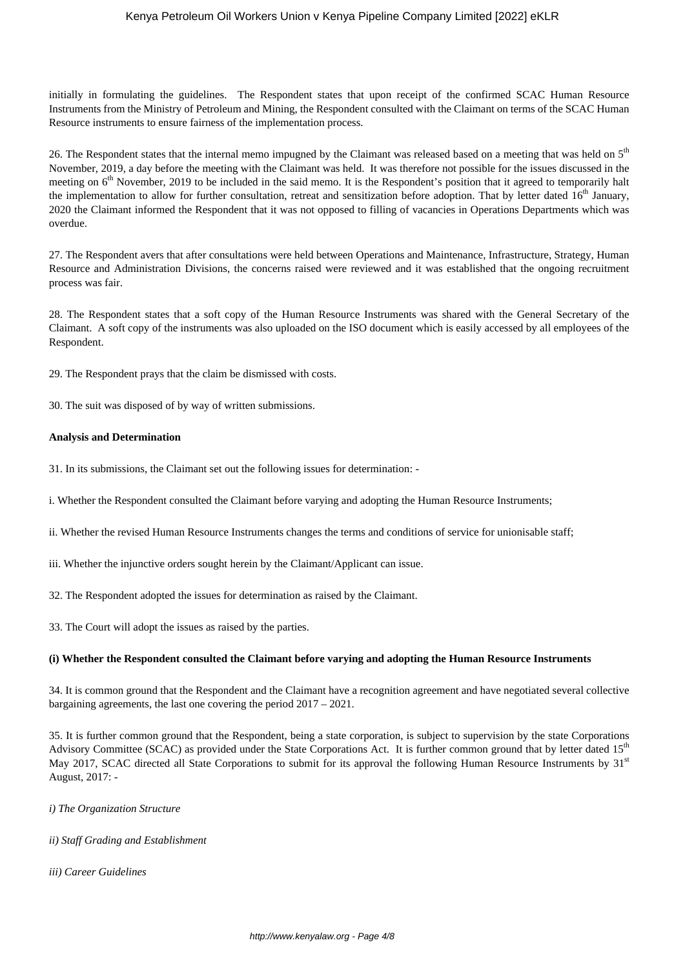initially in formulating the guidelines. The Respondent states that upon receipt of the confirmed SCAC Human Resource Instruments from the Ministry of Petroleum and Mining, the Respondent consulted with the Claimant on terms of the SCAC Human Resource instruments to ensure fairness of the implementation process.

26. The Respondent states that the internal memo impugned by the Claimant was released based on a meeting that was held on 5<sup>th</sup> November, 2019, a day before the meeting with the Claimant was held. It was therefore not possible for the issues discussed in the meeting on  $6<sup>th</sup>$  November, 2019 to be included in the said memo. It is the Respondent's position that it agreed to temporarily halt the implementation to allow for further consultation, retreat and sensitization before adoption. That by letter dated  $16<sup>th</sup>$  January, 2020 the Claimant informed the Respondent that it was not opposed to filling of vacancies in Operations Departments which was overdue.

27. The Respondent avers that after consultations were held between Operations and Maintenance, Infrastructure, Strategy, Human Resource and Administration Divisions, the concerns raised were reviewed and it was established that the ongoing recruitment process was fair.

28. The Respondent states that a soft copy of the Human Resource Instruments was shared with the General Secretary of the Claimant. A soft copy of the instruments was also uploaded on the ISO document which is easily accessed by all employees of the Respondent.

29. The Respondent prays that the claim be dismissed with costs.

30. The suit was disposed of by way of written submissions.

#### **Analysis and Determination**

- 31. In its submissions, the Claimant set out the following issues for determination: -
- i. Whether the Respondent consulted the Claimant before varying and adopting the Human Resource Instruments;
- ii. Whether the revised Human Resource Instruments changes the terms and conditions of service for unionisable staff;
- iii. Whether the injunctive orders sought herein by the Claimant/Applicant can issue.
- 32. The Respondent adopted the issues for determination as raised by the Claimant.
- 33. The Court will adopt the issues as raised by the parties.

#### **(i) Whether the Respondent consulted the Claimant before varying and adopting the Human Resource Instruments**

34. It is common ground that the Respondent and the Claimant have a recognition agreement and have negotiated several collective bargaining agreements, the last one covering the period 2017 – 2021.

35. It is further common ground that the Respondent, being a state corporation, is subject to supervision by the state Corporations Advisory Committee (SCAC) as provided under the State Corporations Act. It is further common ground that by letter dated  $15<sup>th</sup>$ May 2017, SCAC directed all State Corporations to submit for its approval the following Human Resource Instruments by 31<sup>st</sup> August, 2017: -

*i) The Organization Structure* 

- *ii) Staff Grading and Establishment*
- *iii) Career Guidelines*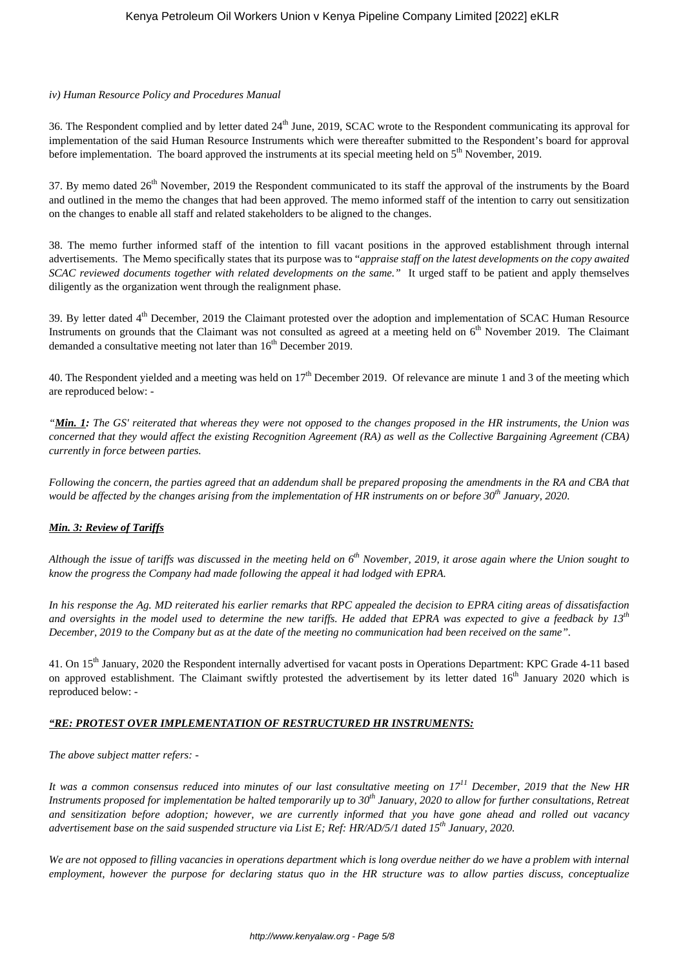## *iv) Human Resource Policy and Procedures Manual*

36. The Respondent complied and by letter dated  $24<sup>th</sup>$  June, 2019, SCAC wrote to the Respondent communicating its approval for implementation of the said Human Resource Instruments which were thereafter submitted to the Respondent's board for approval before implementation. The board approved the instruments at its special meeting held on 5<sup>th</sup> November, 2019.

37. By memo dated 26<sup>th</sup> November, 2019 the Respondent communicated to its staff the approval of the instruments by the Board and outlined in the memo the changes that had been approved. The memo informed staff of the intention to carry out sensitization on the changes to enable all staff and related stakeholders to be aligned to the changes.

38. The memo further informed staff of the intention to fill vacant positions in the approved establishment through internal advertisements. The Memo specifically states that its purpose was to "*appraise staff on the latest developments on the copy awaited SCAC reviewed documents together with related developments on the same."* It urged staff to be patient and apply themselves diligently as the organization went through the realignment phase.

39. By letter dated 4<sup>th</sup> December, 2019 the Claimant protested over the adoption and implementation of SCAC Human Resource Instruments on grounds that the Claimant was not consulted as agreed at a meeting held on 6<sup>th</sup> November 2019. The Claimant demanded a consultative meeting not later than  $16<sup>th</sup>$  December 2019.

40. The Respondent yielded and a meeting was held on  $17<sup>th</sup>$  December 2019. Of relevance are minute 1 and 3 of the meeting which are reproduced below: -

*"Min. 1: The GS' reiterated that whereas they were not opposed to the changes proposed in the HR instruments, the Union was concerned that they would affect the existing Recognition Agreement (RA) as well as the Collective Bargaining Agreement (CBA) currently in force between parties.*

*Following the concern, the parties agreed that an addendum shall be prepared proposing the amendments in the RA and CBA that would be affected by the changes arising from the implementation of HR instruments on or before 30th January, 2020.*

## *Min. 3: Review of Tariffs*

*Although the issue of tariffs was discussed in the meeting held on 6th November, 2019, it arose again where the Union sought to know the progress the Company had made following the appeal it had lodged with EPRA.*

*In his response the Ag. MD reiterated his earlier remarks that RPC appealed the decision to EPRA citing areas of dissatisfaction and oversights in the model used to determine the new tariffs. He added that EPRA was expected to give a feedback by 13th December, 2019 to the Company but as at the date of the meeting no communication had been received on the same".*

41. On 15<sup>th</sup> January, 2020 the Respondent internally advertised for vacant posts in Operations Department: KPC Grade 4-11 based on approved establishment. The Claimant swiftly protested the advertisement by its letter dated 16<sup>th</sup> January 2020 which is reproduced below: -

## *"RE: PROTEST OVER IMPLEMENTATION OF RESTRUCTURED HR INSTRUMENTS:*

*The above subject matter refers: -*

*It was a common consensus reduced into minutes of our last consultative meeting on 17<sup>11</sup> December, 2019 that the New HR Instruments proposed for implementation be halted temporarily up to 30th January, 2020 to allow for further consultations, Retreat and sensitization before adoption; however, we are currently informed that you have gone ahead and rolled out vacancy advertisement base on the said suspended structure via List E; Ref: HR/AD/5/1 dated 15th January, 2020.*

*We are not opposed to filling vacancies in operations department which is long overdue neither do we have a problem with internal employment, however the purpose for declaring status quo in the HR structure was to allow parties discuss, conceptualize*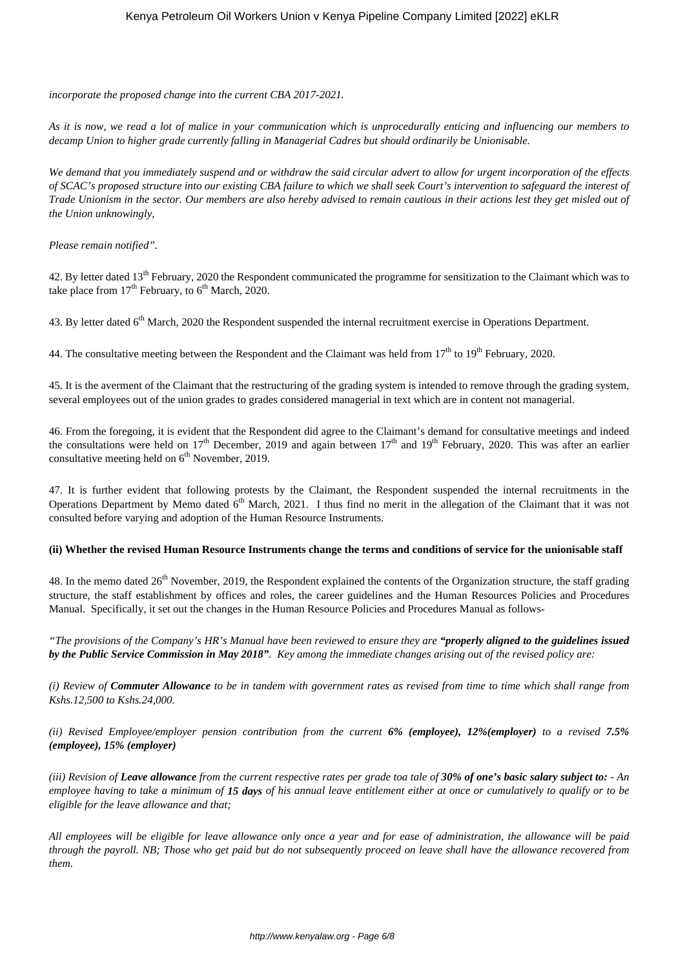*incorporate the proposed change into the current CBA 2017-2021.*

*As it is now, we read a lot of malice in your communication which is unprocedurally enticing and influencing our members to decamp Union to higher grade currently falling in Managerial Cadres but should ordinarily be Unionisable.*

*We demand that you immediately suspend and or withdraw the said circular advert to allow for urgent incorporation of the effects of SCAC's proposed structure into our existing CBA failure to which we shall seek Court's intervention to safeguard the interest of Trade Unionism in the sector. Our members are also hereby advised to remain cautious in their actions lest they get misled out of the Union unknowingly,*

*Please remain notified".*

42. By letter dated 13<sup>th</sup> February, 2020 the Respondent communicated the programme for sensitization to the Claimant which was to take place from  $17<sup>th</sup>$  February, to  $6<sup>th</sup>$  March, 2020.

43. By letter dated  $6<sup>th</sup>$  March, 2020 the Respondent suspended the internal recruitment exercise in Operations Department.

44. The consultative meeting between the Respondent and the Claimant was held from  $17<sup>th</sup>$  to  $19<sup>th</sup>$  February, 2020.

45. It is the averment of the Claimant that the restructuring of the grading system is intended to remove through the grading system, several employees out of the union grades to grades considered managerial in text which are in content not managerial.

46. From the foregoing, it is evident that the Respondent did agree to the Claimant's demand for consultative meetings and indeed the consultations were held on  $17<sup>th</sup>$  December, 2019 and again between  $17<sup>th</sup>$  and  $19<sup>th</sup>$  February, 2020. This was after an earlier consultative meeting held on  $6<sup>th</sup>$  November, 2019.

47. It is further evident that following protests by the Claimant, the Respondent suspended the internal recruitments in the Operations Department by Memo dated  $6<sup>th</sup>$  March, 2021. I thus find no merit in the allegation of the Claimant that it was not consulted before varying and adoption of the Human Resource Instruments.

#### **(ii) Whether the revised Human Resource Instruments change the terms and conditions of service for the unionisable staff**

48. In the memo dated  $26<sup>th</sup>$  November, 2019, the Respondent explained the contents of the Organization structure, the staff grading structure, the staff establishment by offices and roles, the career guidelines and the Human Resources Policies and Procedures Manual. Specifically, it set out the changes in the Human Resource Policies and Procedures Manual as follows-

*"The provisions of the Company's HR's Manual have been reviewed to ensure they are "properly aligned to the guidelines issued by the Public Service Commission in May 2018". Key among the immediate changes arising out of the revised policy are:*

*(i) Review of Commuter Allowance to be in tandem with government rates as revised from time to time which shall range from Kshs.12,500 to Kshs.24,000.* 

*(ii) Revised Employee/employer pension contribution from the current 6% (employee), 12%(employer) to a revised 7.5% (employee), 15% (employer)*

*(iii) Revision of Leave allowance from the current respective rates per grade toa tale of 30% of one's basic salary subject to: - An employee having to take a minimum of 15 days of his annual leave entitlement either at once or cumulatively to qualify or to be eligible for the leave allowance and that;* 

*All employees will be eligible for leave allowance only once a year and for ease of administration, the allowance will be paid through the payroll. NB; Those who get paid but do not subsequently proceed on leave shall have the allowance recovered from them.*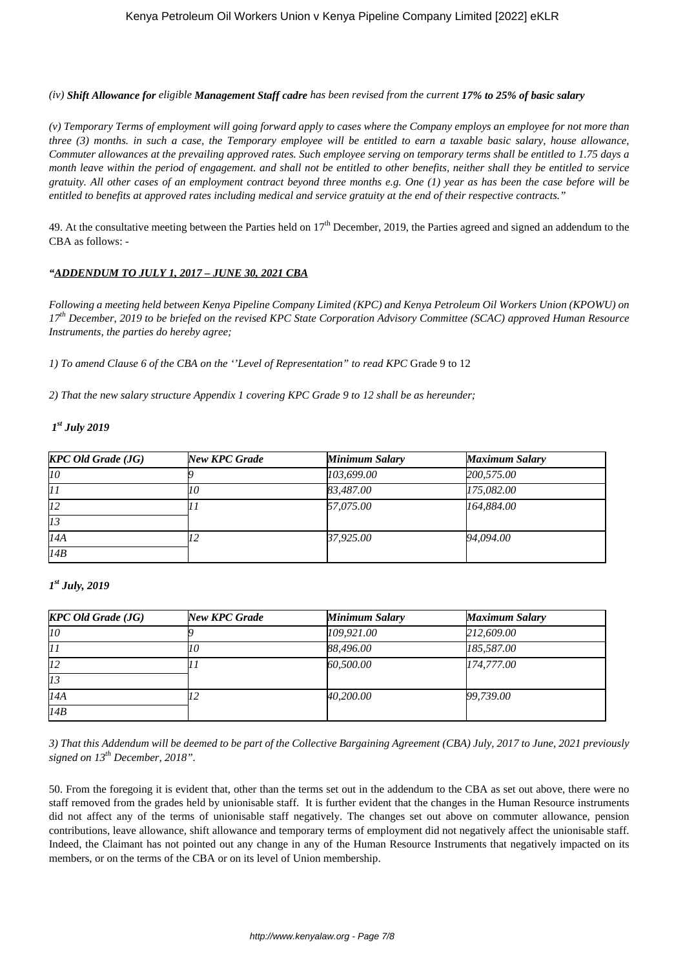*(iv) Shift Allowance for eligible Management Staff cadre has been revised from the current 17% to 25% of basic salary*

*(v) Temporary Terms of employment will going forward apply to cases where the Company employs an employee for not more than three (3) months. in such a case, the Temporary employee will be entitled to earn a taxable basic salary, house allowance, Commuter allowances at the prevailing approved rates. Such employee serving on temporary terms shall be entitled to 1.75 days a month leave within the period of engagement. and shall not be entitled to other benefits, neither shall they be entitled to service gratuity. All other cases of an employment contract beyond three months e.g. One (1) year as has been the case before will be entitled to benefits at approved rates including medical and service gratuity at the end of their respective contracts."* 

49. At the consultative meeting between the Parties held on  $17<sup>th</sup>$  December, 2019, the Parties agreed and signed an addendum to the CBA as follows: -

## *"ADDENDUM TO JULY 1, 2017 – JUNE 30, 2021 CBA*

*Following a meeting held between Kenya Pipeline Company Limited (KPC) and Kenya Petroleum Oil Workers Union (KPOWU) on 17th December, 2019 to be briefed on the revised KPC State Corporation Advisory Committee (SCAC) approved Human Resource Instruments, the parties do hereby agree;*

*1) To amend Clause 6 of the CBA on the ''Level of Representation" to read KPC* Grade 9 to 12

*2) That the new salary structure Appendix 1 covering KPC Grade 9 to 12 shall be as hereunder;*

# *1 st July 2019*

| <b>KPC Old Grade (JG)</b> | New KPC Grade | <b>Minimum Salary</b> | <b>Maximum Salary</b> |
|---------------------------|---------------|-----------------------|-----------------------|
| 10                        |               | 103,699.00            | 200,575.00            |
| 11                        |               | 83,487.00             | 175,082.00            |
| 12                        |               | 57,075.00             | 164,884.00            |
| 13                        |               |                       |                       |
| I4A                       |               | 37,925.00             | 94,094.00             |
| 14B                       |               |                       |                       |

## *1 st July, 2019*

| <b>KPC Old Grade (JG)</b> | New KPC Grade | <b>Minimum Salary</b> | <b>Maximum Salary</b> |
|---------------------------|---------------|-----------------------|-----------------------|
| 10                        |               | 109,921.00            | 212,609.00            |
| 11                        |               | 88,496.00             | 185,587.00            |
| lz2                       |               | 60,500.00             | 174,777.00            |
| 13                        |               |                       |                       |
| I4A                       |               | 40,200.00             | 99,739.00             |
| 14B                       |               |                       |                       |

*3) That this Addendum will be deemed to be part of the Collective Bargaining Agreement (CBA) July, 2017 to June, 2021 previously signed on 13th December, 2018".*

50. From the foregoing it is evident that, other than the terms set out in the addendum to the CBA as set out above, there were no staff removed from the grades held by unionisable staff. It is further evident that the changes in the Human Resource instruments did not affect any of the terms of unionisable staff negatively. The changes set out above on commuter allowance, pension contributions, leave allowance, shift allowance and temporary terms of employment did not negatively affect the unionisable staff. Indeed, the Claimant has not pointed out any change in any of the Human Resource Instruments that negatively impacted on its members, or on the terms of the CBA or on its level of Union membership.